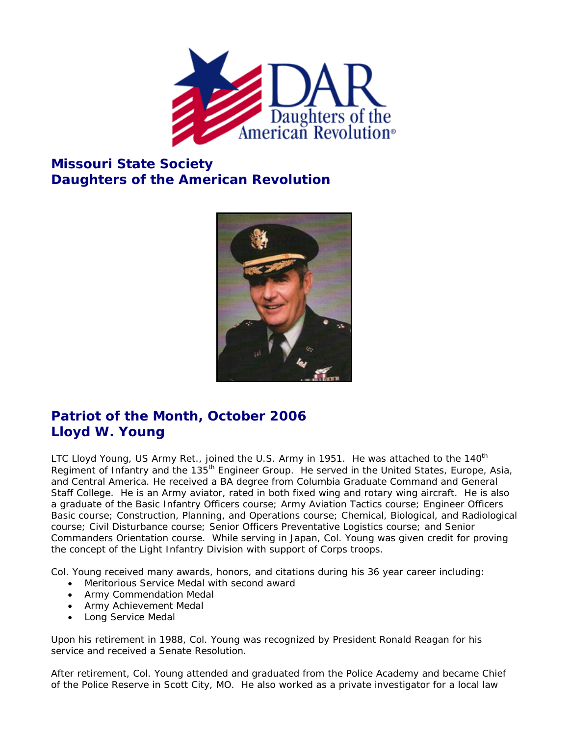

## **Missouri State Society Daughters of the American Revolution**



## **Patriot of the Month, October 2006 Lloyd W. Young**

LTC Lloyd Young, US Army Ret., joined the U.S. Army in 1951. He was attached to the 140<sup>th</sup> Regiment of Infantry and the 135<sup>th</sup> Engineer Group. He served in the United States, Europe, Asia, and Central America. He received a BA degree from Columbia Graduate Command and General Staff College. He is an Army aviator, rated in both fixed wing and rotary wing aircraft. He is also a graduate of the Basic Infantry Officers course; Army Aviation Tactics course; Engineer Officers Basic course; Construction, Planning, and Operations course; Chemical, Biological, and Radiological course; Civil Disturbance course; Senior Officers Preventative Logistics course; and Senior Commanders Orientation course. While serving in Japan, Col. Young was given credit for proving the concept of the Light Infantry Division with support of Corps troops.

Col. Young received many awards, honors, and citations during his 36 year career including:

- Meritorious Service Medal with second award
- Army Commendation Medal
- Army Achievement Medal
- Long Service Medal

Upon his retirement in 1988, Col. Young was recognized by President Ronald Reagan for his service and received a Senate Resolution.

After retirement, Col. Young attended and graduated from the Police Academy and became Chief of the Police Reserve in Scott City, MO. He also worked as a private investigator for a local law